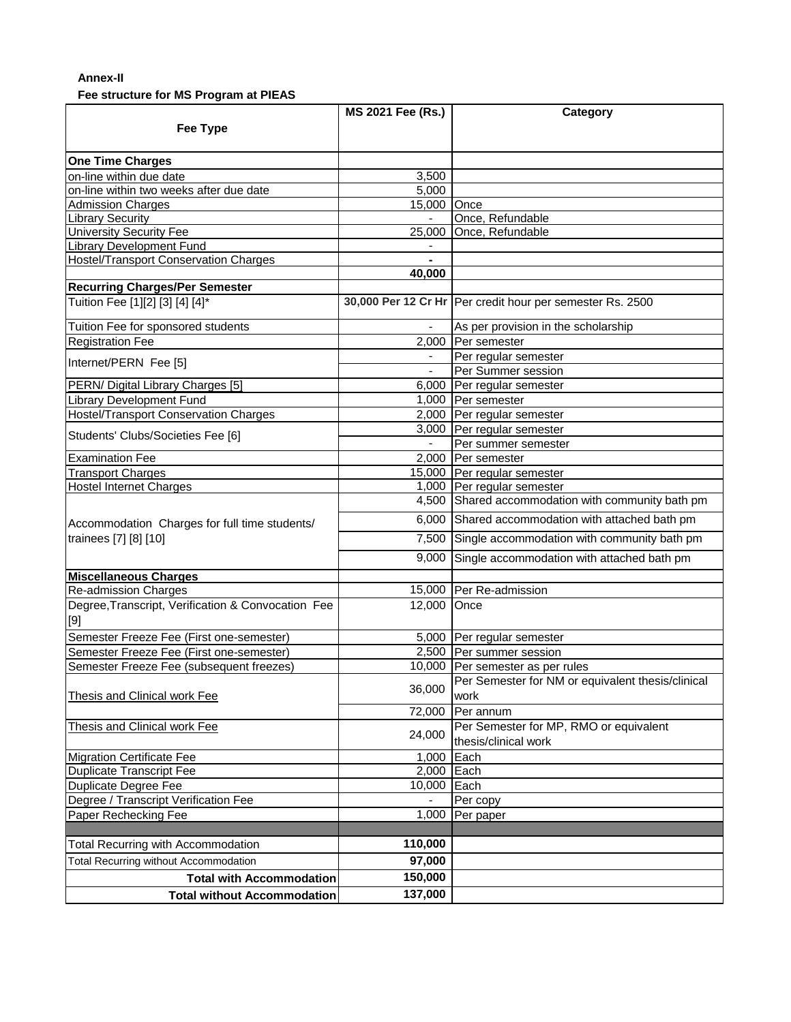## **Annex-II**

## **Fee structure for MS Program at PIEAS**

|                                                                        | <b>MS 2021 Fee (Rs.)</b> | Category                                                    |
|------------------------------------------------------------------------|--------------------------|-------------------------------------------------------------|
| <b>Fee Type</b>                                                        |                          |                                                             |
|                                                                        |                          |                                                             |
| <b>One Time Charges</b>                                                |                          |                                                             |
| on-line within due date                                                | 3,500                    |                                                             |
| on-line within two weeks after due date                                | 5,000                    |                                                             |
| <b>Admission Charges</b>                                               | 15,000 Once              |                                                             |
| <b>Library Security</b>                                                |                          | Once, Refundable                                            |
| <b>University Security Fee</b>                                         |                          | 25,000 Once, Refundable                                     |
| <b>Library Development Fund</b>                                        |                          |                                                             |
| <b>Hostel/Transport Conservation Charges</b>                           |                          |                                                             |
|                                                                        | 40,000                   |                                                             |
| <b>Recurring Charges/Per Semester</b>                                  |                          |                                                             |
| Tuition Fee [1][2] [3] [4] [4]*                                        |                          | 30,000 Per 12 Cr Hr   Per credit hour per semester Rs. 2500 |
| Tuition Fee for sponsored students                                     |                          | As per provision in the scholarship                         |
| <b>Registration Fee</b>                                                |                          | 2,000 Per semester                                          |
|                                                                        |                          | Per regular semester                                        |
| Internet/PERN Fee [5]                                                  | $\mathbf{r}$             | Per Summer session                                          |
| PERN/ Digital Library Charges [5]                                      |                          | 6,000 Per regular semester                                  |
| Library Development Fund                                               |                          | 1,000 Per semester                                          |
| Hostel/Transport Conservation Charges                                  |                          | 2,000 Per regular semester                                  |
|                                                                        |                          | 3,000 Per regular semester                                  |
| Students' Clubs/Societies Fee [6]                                      |                          | Per summer semester                                         |
| <b>Examination Fee</b>                                                 |                          | 2,000 Per semester                                          |
| <b>Transport Charges</b>                                               |                          | 15,000 Per regular semester                                 |
| <b>Hostel Internet Charges</b>                                         |                          | 1,000 Per regular semester                                  |
|                                                                        |                          | 4,500 Shared accommodation with community bath pm           |
| Accommodation Charges for full time students/<br>trainees [7] [8] [10] |                          | 6,000 Shared accommodation with attached bath pm            |
|                                                                        |                          | 7,500 Single accommodation with community bath pm           |
|                                                                        |                          | 9,000 Single accommodation with attached bath pm            |
| <b>Miscellaneous Charges</b>                                           |                          |                                                             |
| Re-admission Charges                                                   |                          | 15,000 Per Re-admission                                     |
| Degree, Transcript, Verification & Convocation Fee                     | 12,000 Once              |                                                             |
| [9]                                                                    |                          |                                                             |
| Semester Freeze Fee (First one-semester)                               |                          | 5,000 Per regular semester                                  |
| Semester Freeze Fee (First one-semester)                               |                          | 2,500 Per summer session                                    |
| Semester Freeze Fee (subsequent freezes)                               |                          | 10,000 Per semester as per rules                            |
|                                                                        |                          | Per Semester for NM or equivalent thesis/clinical           |
| Thesis and Clinical work Fee                                           | 36,000                   | work                                                        |
|                                                                        | 72,000                   | Per annum                                                   |
| Thesis and Clinical work Fee                                           |                          | Per Semester for MP, RMO or equivalent                      |
|                                                                        | 24,000                   | thesis/clinical work                                        |
| <b>Migration Certificate Fee</b>                                       | 1,000                    | Each                                                        |
| <b>Duplicate Transcript Fee</b>                                        | 2,000 Each               |                                                             |
| <b>Duplicate Degree Fee</b>                                            | 10,000                   | Each                                                        |
| Degree / Transcript Verification Fee                                   |                          | Per copy                                                    |
| Paper Rechecking Fee                                                   | 1,000                    | Per paper                                                   |
|                                                                        |                          |                                                             |
| <b>Total Recurring with Accommodation</b>                              | 110,000                  |                                                             |
| <b>Total Recurring without Accommodation</b>                           | 97,000                   |                                                             |
| <b>Total with Accommodation</b>                                        | 150,000                  |                                                             |
| <b>Total without Accommodation</b>                                     | 137,000                  |                                                             |